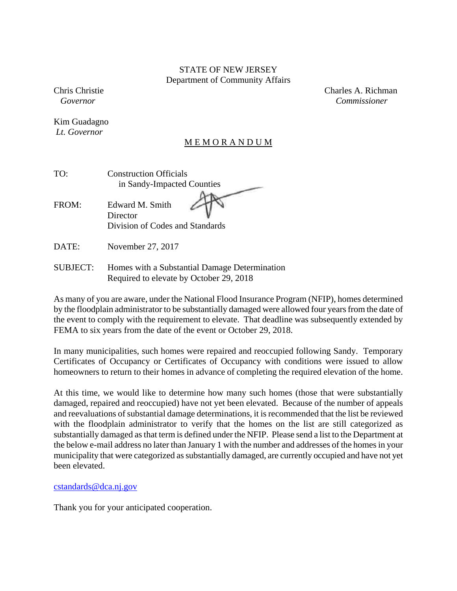### STATE OF NEW JERSEY Department of Community Affairs

Kim Guadagno  *Lt. Governor*

Chris Christie Charles A. Richman  *Governor Commissioner* 

### **MEMORANDUM**

| TO: | <b>Construction Officials</b> |
|-----|-------------------------------|
|     | in Sandy-Impacted Counties    |
|     |                               |

FROM: Edward M. Smith **Director** Division of Codes and Standards

DATE: November 27, 2017

SUBJECT: Homes with a Substantial Damage Determination Required to elevate by October 29, 2018

As many of you are aware, under the National Flood Insurance Program (NFIP), homes determined by the floodplain administrator to be substantially damaged were allowed four years from the date of the event to comply with the requirement to elevate. That deadline was subsequently extended by FEMA to six years from the date of the event or October 29, 2018.

In many municipalities, such homes were repaired and reoccupied following Sandy. Temporary Certificates of Occupancy or Certificates of Occupancy with conditions were issued to allow homeowners to return to their homes in advance of completing the required elevation of the home.

At this time, we would like to determine how many such homes (those that were substantially damaged, repaired and reoccupied) have not yet been elevated. Because of the number of appeals and reevaluations of substantial damage determinations, it is recommended that the list be reviewed with the floodplain administrator to verify that the homes on the list are still categorized as substantially damaged as that term is defined under the NFIP. Please send a list to the Department at the below e-mail address no later than January 1 with the number and addresses of the homes in your municipality that were categorized as substantially damaged, are currently occupied and have not yet been elevated.

cstandards@dca.nj.gov

Thank you for your anticipated cooperation.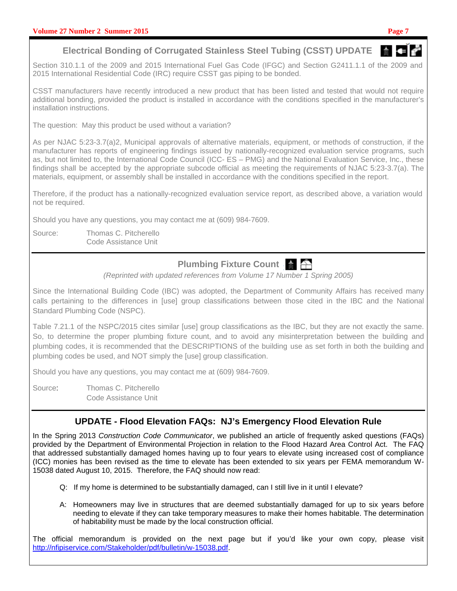# **Electrical Bonding of Corrugated Stainless Steel Tubing (CSST) UPDATE**

Section 310.1.1 of the 2009 and 2015 International Fuel Gas Code (IFGC) and Section G2411.1.1 of the 2009 and 2015 International Residential Code (IRC) require CSST gas piping to be bonded.

CSST manufacturers have recently introduced a new product that has been listed and tested that would not require additional bonding, provided the product is installed in accordance with the conditions specified in the manufacturer's installation instructions.

The question: May this product be used without a variation?

As per NJAC 5:23-3.7(a)2, Municipal approvals of alternative materials, equipment, or methods of construction, if the manufacturer has reports of engineering findings issued by nationally-recognized evaluation service programs, such as, but not limited to, the International Code Council (ICC- ES – PMG) and the National Evaluation Service, Inc., these findings shall be accepted by the appropriate subcode official as meeting the requirements of NJAC 5:23-3.7(a). The materials, equipment, or assembly shall be installed in accordance with the conditions specified in the report.

Therefore, if the product has a nationally-recognized evaluation service report, as described above, a variation would not be required.

Should you have any questions, you may contact me at (609) 984-7609.

Source: Thomas C. Pitcherello Code Assistance Unit

# **Plumbing Fixture Count**  $\frac{1}{2}$

(Reprinted with updated references from Volume 17 Number 1 Spring 2005)

Since the International Building Code (IBC) was adopted, the Department of Community Affairs has received many calls pertaining to the differences in [use] group classifications between those cited in the IBC and the National Standard Plumbing Code (NSPC).

Table 7.21.1 of the NSPC/2015 cites similar [use] group classifications as the IBC, but they are not exactly the same. So, to determine the proper plumbing fixture count, and to avoid any misinterpretation between the building and plumbing codes, it is recommended that the DESCRIPTIONS of the building use as set forth in both the building and plumbing codes be used, and NOT simply the [use] group classification.

Should you have any questions, you may contact me at (609) 984-7609.

Source: Thomas C. Pitcherello Code Assistance Unit

## **UPDATE - Flood Elevation FAQs: NJ's Emergency Flood Elevation Rule**

In the Spring 2013 Construction Code Communicator, we published an article of frequently asked questions (FAQs) provided by the Department of Environmental Projection in relation to the Flood Hazard Area Control Act. The FAQ that addressed substantially damaged homes having up to four years to elevate using increased cost of compliance (ICC) monies has been revised as the time to elevate has been extended to six years per FEMA memorandum W-15038 dated August 10, 2015. Therefore, the FAQ should now read:

- Q: If my home is determined to be substantially damaged, can I still live in it until I elevate?
- A: Homeowners may live in structures that are deemed substantially damaged for up to six years before needing to elevate if they can take temporary measures to make their homes habitable. The determination of habitability must be made by the local construction official.

The official memorandum is provided on the next page but if you'd like your own copy, please visit http://nfipiservice.com/Stakeholder/pdf/bulletin/w-15038.pdf.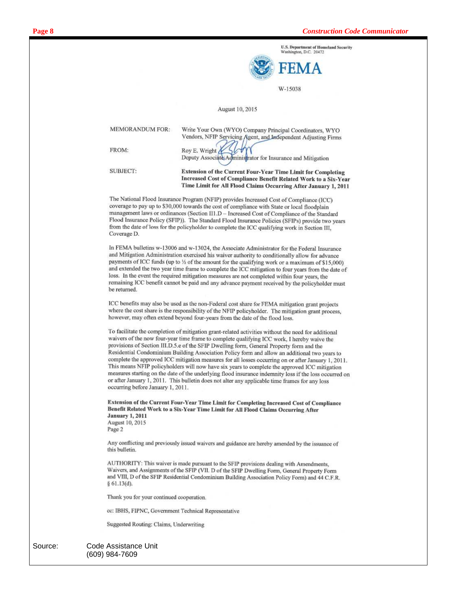

W-15038

#### August 10, 2015

| <b>MEMORANDUM FOR:</b> | Write Your Own (WYO) Company Principal Coordinators, WYO<br>Vendors, NFIP Servicing Agent, and Independent Adjusting Firms                                                                                |
|------------------------|-----------------------------------------------------------------------------------------------------------------------------------------------------------------------------------------------------------|
| FROM:                  | Roy E. Wright<br>Deputy Associate Administrator for Insurance and Mitigation                                                                                                                              |
| SUBJECT:               | <b>Extension of the Current Four-Year Time Limit for Completing</b><br>Increased Cost of Compliance Benefit Related Work to a Six-Year<br>Time Limit for All Flood Claims Occurring After January 1, 2011 |

The National Flood Insurance Program (NFIP) provides Increased Cost of Compliance (ICC) coverage to pay up to \$30,000 towards the cost of compliance with State or local floodplain management laws or ordinances (Section II1.D - Increased Cost of Compliance of the Standard Flood Insurance Policy (SFIP)). The Standard Flood Insurance Policies (SFIPs) provide two years from the date of loss for the policyholder to complete the ICC qualifying work in Section III, Coverage D.

In FEMA bulletins w-13006 and w-13024, the Associate Administrator for the Federal Insurance and Mitigation Administration exercised his waiver authority to conditionally allow for advance payments of ICC funds (up to 1/2 of the amount for the qualifying work or a maximum of \$15,000) and extended the two year time frame to complete the ICC mitigation to four years from the date of loss. In the event the required mitigation measures are not completed within four years, the remaining ICC benefit cannot be paid and any advance payment received by the policyholder must be returned.

ICC benefits may also be used as the non-Federal cost share for FEMA mitigation grant projects where the cost share is the responsibility of the NFIP policyholder. The mitigation grant process, however, may often extend beyond four-years from the date of the flood loss.

To facilitate the completion of mitigation grant-related activities without the need for additional waivers of the now four-year time frame to complete qualifying ICC work, I hereby waive the provisions of Section III.D.5.e of the SFIP Dwelling form, General Property form and the Residential Condominium Building Association Policy form and allow an additional two years to complete the approved ICC mitigation measures for all losses occurring on or after January 1, 2011. This means NFIP policyholders will now have six years to complete the approved ICC mitigation measures starting on the date of the underlying flood insurance indemnity loss if the loss occurred on or after January 1, 2011. This bulletin does not alter any applicable time frames for any loss occurring before January 1, 2011.

Extension of the Current Four-Year Time Limit for Completing Increased Cost of Compliance Benefit Related Work to a Six-Year Time Limit for All Flood Claims Occurring After **January 1, 2011** August 10, 2015

Page 2

Any conflicting and previously issued waivers and guidance are hereby amended by the issuance of this bulletin.

AUTHORITY: This waiver is made pursuant to the SFIP provisions dealing with Amendments, Waivers, and Assignments of the SFIP (VII. D of the SFIP Dwelling Form, General Property Form and VIII, D of the SFIP Residential Condominium Building Association Policy Form) and 44 C.F.R.  $§ 61.13(d).$ 

Thank you for your continued cooperation.

cc: IBHS, FIPNC, Government Technical Representative

Suggested Routing: Claims, Underwriting

| Source: | Code Assistance Unit |
|---------|----------------------|
|         | (609) 984-7609       |